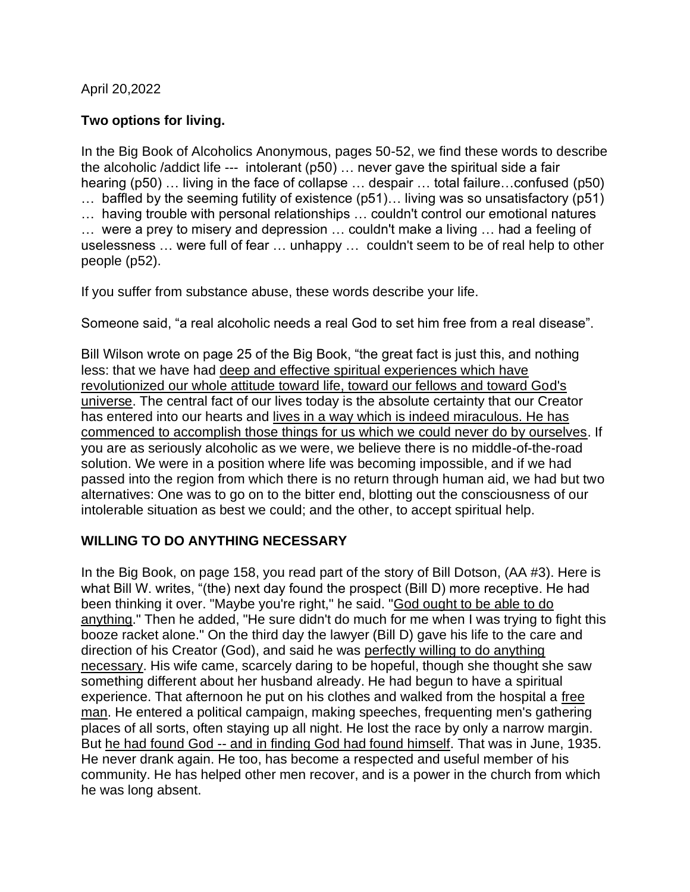April 20,2022

# **Two options for living.**

In the Big Book of Alcoholics Anonymous, pages 50-52, we find these words to describe the alcoholic /addict life --- intolerant (p50) … never gave the spiritual side a fair hearing (p50) … living in the face of collapse … despair … total failure…confused (p50) … baffled by the seeming futility of existence (p51)… living was so unsatisfactory (p51) … having trouble with personal relationships … couldn't control our emotional natures … were a prey to misery and depression … couldn't make a living … had a feeling of uselessness … were full of fear … unhappy … couldn't seem to be of real help to other people (p52).

If you suffer from substance abuse, these words describe your life.

Someone said, "a real alcoholic needs a real God to set him free from a real disease".

Bill Wilson wrote on page 25 of the Big Book, "the great fact is just this, and nothing less: that we have had deep and effective spiritual experiences which have revolutionized our whole attitude toward life, toward our fellows and toward God's universe. The central fact of our lives today is the absolute certainty that our Creator has entered into our hearts and lives in a way which is indeed miraculous. He has commenced to accomplish those things for us which we could never do by ourselves. If you are as seriously alcoholic as we were, we believe there is no middle-of-the-road solution. We were in a position where life was becoming impossible, and if we had passed into the region from which there is no return through human aid, we had but two alternatives: One was to go on to the bitter end, blotting out the consciousness of our intolerable situation as best we could; and the other, to accept spiritual help.

## **WILLING TO DO ANYTHING NECESSARY**

In the Big Book, on page 158, you read part of the story of Bill Dotson, (AA #3). Here is what Bill W. writes, "(the) next day found the prospect (Bill D) more receptive. He had been thinking it over. "Maybe you're right," he said. "God ought to be able to do anything." Then he added, "He sure didn't do much for me when I was trying to fight this booze racket alone." On the third day the lawyer (Bill D) gave his life to the care and direction of his Creator (God), and said he was perfectly willing to do anything necessary. His wife came, scarcely daring to be hopeful, though she thought she saw something different about her husband already. He had begun to have a spiritual experience. That afternoon he put on his clothes and walked from the hospital a free man. He entered a political campaign, making speeches, frequenting men's gathering places of all sorts, often staying up all night. He lost the race by only a narrow margin. But he had found God -- and in finding God had found himself. That was in June, 1935. He never drank again. He too, has become a respected and useful member of his community. He has helped other men recover, and is a power in the church from which he was long absent.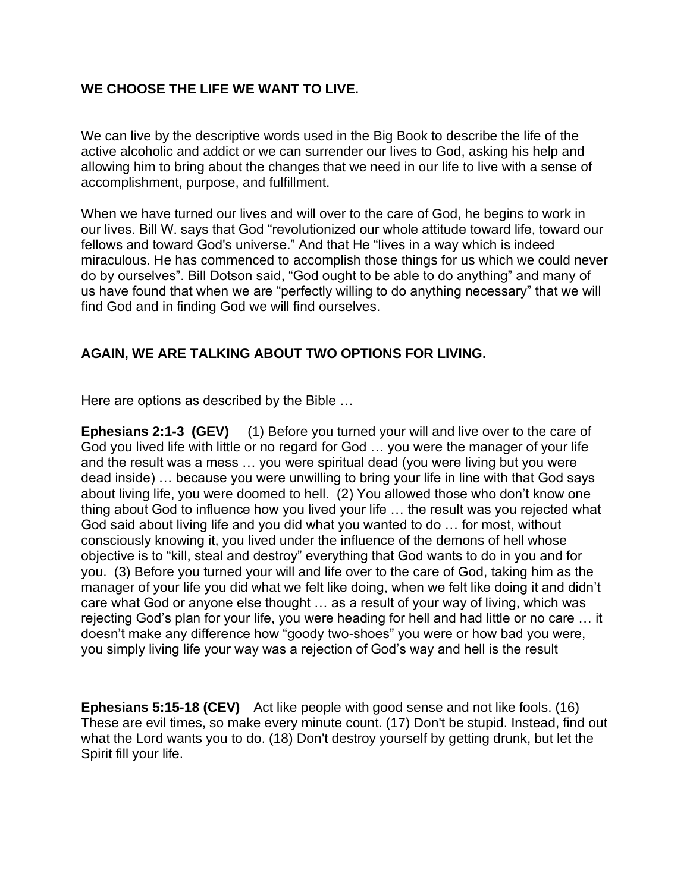### **WE CHOOSE THE LIFE WE WANT TO LIVE.**

We can live by the descriptive words used in the Big Book to describe the life of the active alcoholic and addict or we can surrender our lives to God, asking his help and allowing him to bring about the changes that we need in our life to live with a sense of accomplishment, purpose, and fulfillment.

When we have turned our lives and will over to the care of God, he begins to work in our lives. Bill W. says that God "revolutionized our whole attitude toward life, toward our fellows and toward God's universe." And that He "lives in a way which is indeed miraculous. He has commenced to accomplish those things for us which we could never do by ourselves". Bill Dotson said, "God ought to be able to do anything" and many of us have found that when we are "perfectly willing to do anything necessary" that we will find God and in finding God we will find ourselves.

## **AGAIN, WE ARE TALKING ABOUT TWO OPTIONS FOR LIVING.**

Here are options as described by the Bible …

**Ephesians 2:1-3 (GEV)** (1) Before you turned your will and live over to the care of God you lived life with little or no regard for God … you were the manager of your life and the result was a mess … you were spiritual dead (you were living but you were dead inside) … because you were unwilling to bring your life in line with that God says about living life, you were doomed to hell. (2) You allowed those who don't know one thing about God to influence how you lived your life … the result was you rejected what God said about living life and you did what you wanted to do … for most, without consciously knowing it, you lived under the influence of the demons of hell whose objective is to "kill, steal and destroy" everything that God wants to do in you and for you. (3) Before you turned your will and life over to the care of God, taking him as the manager of your life you did what we felt like doing, when we felt like doing it and didn't care what God or anyone else thought … as a result of your way of living, which was rejecting God's plan for your life, you were heading for hell and had little or no care … it doesn't make any difference how "goody two-shoes" you were or how bad you were, you simply living life your way was a rejection of God's way and hell is the result

**Ephesians 5:15-18 (CEV)** Act like people with good sense and not like fools. (16) These are evil times, so make every minute count. (17) Don't be stupid. Instead, find out what the Lord wants you to do. (18) Don't destroy yourself by getting drunk, but let the Spirit fill your life.